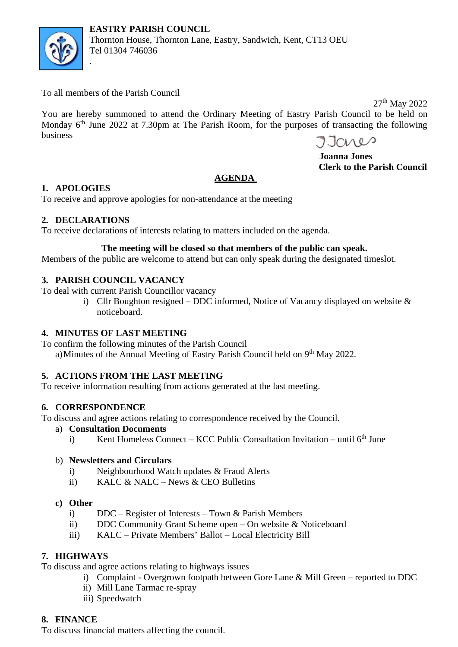

business

To all members of the Parish Council

.

27 th May 2022

 **Joanna Jones Clerk to the Parish Council**

### **AGENDA**

You are hereby summoned to attend the Ordinary Meeting of Eastry Parish Council to be held on Monday 6<sup>th</sup> June 2022 at 7.30pm at The Parish Room, for the purposes of transacting the following

### **1. APOLOGIES**

To receive and approve apologies for non-attendance at the meeting

# **2. DECLARATIONS**

To receive declarations of interests relating to matters included on the agenda.

### **The meeting will be closed so that members of the public can speak.**

Members of the public are welcome to attend but can only speak during the designated timeslot.

# **3. PARISH COUNCIL VACANCY**

To deal with current Parish Councillor vacancy

i) Cllr Boughton resigned – DDC informed, Notice of Vacancy displayed on website  $\&$ noticeboard.

# **4. MINUTES OF LAST MEETING**

To confirm the following minutes of the Parish Council a) Minutes of the Annual Meeting of Eastry Parish Council held on 9<sup>th</sup> May 2022.

# **5. ACTIONS FROM THE LAST MEETING**

To receive information resulting from actions generated at the last meeting.

# **6. CORRESPONDENCE**

To discuss and agree actions relating to correspondence received by the Council.

- a) **Consultation Documents** 
	- i) Kent Homeless Connect KCC Public Consultation Invitation until 6<sup>th</sup> June

# b) **Newsletters and Circulars**

- i) Neighbourhood Watch updates & Fraud Alerts
- ii) KALC & NALC News & CEO Bulletins

# **c) Other**

- i) DDC Register of Interests Town & Parish Members
- ii) DDC Community Grant Scheme open On website & Noticeboard
- iii) KALC Private Members' Ballot Local Electricity Bill

# **7. HIGHWAYS**

To discuss and agree actions relating to highways issues

- i) Complaint Overgrown footpath between Gore Lane & Mill Green reported to DDC
- ii) Mill Lane Tarmac re-spray
- iii) Speedwatch

# **8. FINANCE**

To discuss financial matters affecting the council.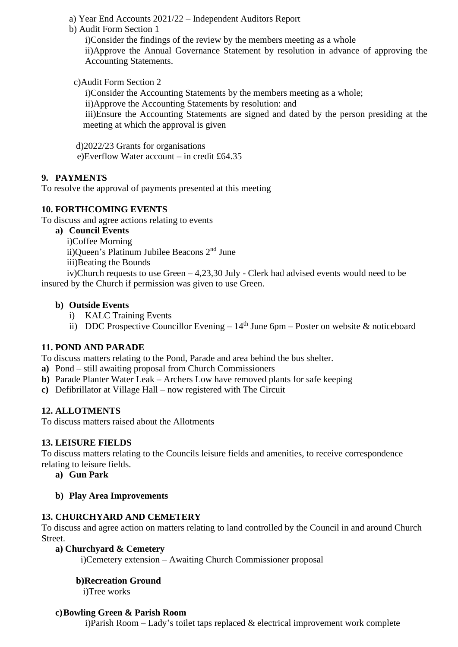- a) Year End Accounts 2021/22 Independent Auditors Report
- b) Audit Form Section 1

i)Consider the findings of the review by the members meeting as a whole ii)Approve the Annual Governance Statement by resolution in advance of approving the Accounting Statements.

c)Audit Form Section 2

i)Consider the Accounting Statements by the members meeting as a whole;

ii)Approve the Accounting Statements by resolution: and

iii)Ensure the Accounting Statements are signed and dated by the person presiding at the meeting at which the approval is given

 d)2022/23 Grants for organisations e)Everflow Water account – in credit £64.35

### **9. PAYMENTS**

To resolve the approval of payments presented at this meeting

### **10. FORTHCOMING EVENTS**

To discuss and agree actions relating to events

**a) Council Events**

 i)Coffee Morning ii)Queen's Platinum Jubilee Beacons 2nd June iii)Beating the Bounds

 iv)Church requests to use Green – 4,23,30 July - Clerk had advised events would need to be insured by the Church if permission was given to use Green.

### **b) Outside Events**

- i) KALC Training Events
- ii) DDC Prospective Councillor Evening  $-14<sup>th</sup>$  June 6pm Poster on website & noticeboard

### **11. POND AND PARADE**

To discuss matters relating to the Pond, Parade and area behind the bus shelter.

- **a)** Pond still awaiting proposal from Church Commissioners
- **b)** Parade Planter Water Leak Archers Low have removed plants for safe keeping
- **c)** Defibrillator at Village Hall now registered with The Circuit

### **12. ALLOTMENTS**

To discuss matters raised about the Allotments

### **13. LEISURE FIELDS**

To discuss matters relating to the Councils leisure fields and amenities, to receive correspondence relating to leisure fields.

**a) Gun Park**

### **b) Play Area Improvements**

### **13. CHURCHYARD AND CEMETERY**

To discuss and agree action on matters relating to land controlled by the Council in and around Church Street.

#### **a) Churchyard & Cemetery**

i)Cemetery extension – Awaiting Church Commissioner proposal

### **b)Recreation Ground**

i)Tree works

### **c)Bowling Green & Parish Room**

i)Parish Room – Lady's toilet taps replaced & electrical improvement work complete